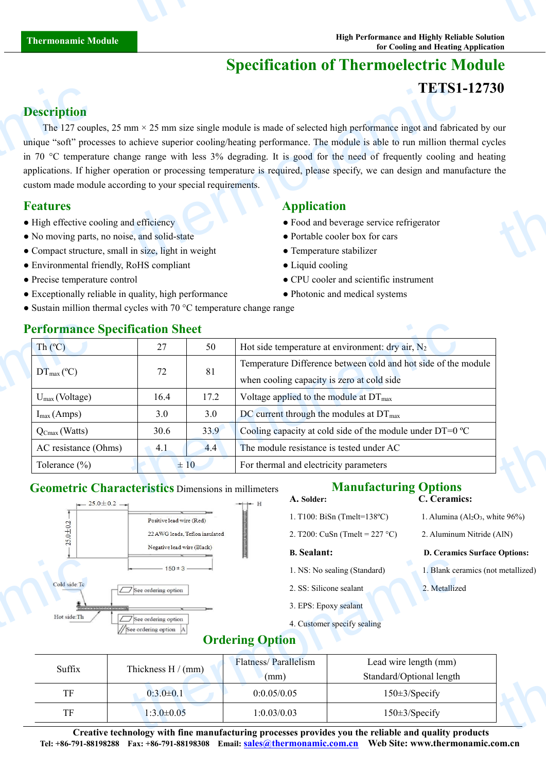# **Specification of Thermoelectric Module**

## **TETS1-12730**

# **Description**

The 127 couples, 25 mm  $\times$  25 mm size single module is made of selected high performance ingot and fabricated by our unique "soft" processes to achieve superior cooling/heating performance. The module isable to run million thermal cycles in 70 °C temperature change range with less 3% degrading. It is good for the need of frequently cooling and heating applications. If higher operation or processing temperature is required, please specify, we can design and manufacture the custom made module according to your special requirements. **Description**<br>The 127 coup<br>unique "soft" proc<br>in 70 °C tempera<br>applications. If hig<br>custom made mod<br>**Features**<br>• High effective co<br>• No moving parts<br>• Compact structu TETS1<br>
ITETS1<br>
ITETS1<br>
ITETS1<br>
ITETS1<br>
ITETS1<br>
ITETS1<br>
ITETS1<br>
ITETS1<br>
ITETS1<br>
ITETS1<br>
ITETS1<br>
ITETS1<br>
ITETS1<br>
ITETS1<br>
ITETS1<br>
ITETS1<br>
ITETS1<br>
ITETS1<br>
ITETS1<br>
ITETS1<br>
ITETS1<br>
ITETS1<br>
ITETS1<br>
ITETS1<br>
ITETS1<br>
ITETS1<br>
ITETS1 thermonic control to the control of the control of the control of the control of the control of the control of the control of the control of the control of the control of the control of the control of the control of the co

## **Features Application**

- High effective cooling and efficiency <br>• Food and beverage service refrigerator
- No moving parts, no noise, and solid-state Portable cooler box for cars
- Compact structure, small in size, light in weight **•** Temperature stabilizer
- Environmental friendly, RoHS compliant Liquid cooling

- 
- Exceptionally reliable in quality, high performance • • Photonic and medical systems
- Sustain million thermal cycles with 70 °C temperature change range

- 
- 
- 
- Precise temperature control CPU cooler and scientific instrument
	-

| <b>Performance Specification Sheet</b> |          |      |                                                                |  |
|----------------------------------------|----------|------|----------------------------------------------------------------|--|
| Th $(C)$                               |          | 50   | Hot side temperature at environment: dry air, $N_2$            |  |
| $DT_{\text{max}}$ (°C)                 | 72       |      | Temperature Difference between cold and hot side of the module |  |
|                                        |          | 81   | when cooling capacity is zero at cold side                     |  |
| $U_{max}$ (Voltage)                    | 16.4     | 17.2 | Voltage applied to the module at $DT_{\text{max}}$             |  |
| $I_{\text{max}}(Amps)$                 | 3.0      | 3.0  | DC current through the modules at $DT_{\text{max}}$            |  |
| $Q_{\text{Cmax}}$ (Watts)              | 30.6     | 33.9 | Cooling capacity at cold side of the module under DT=0 °C      |  |
| AC resistance (Ohms)                   | 4.1      | 4.4  | The module resistance is tested under AC                       |  |
| Tolerance $(\% )$                      | $\pm 10$ |      | For thermal and electricity parameters                         |  |

# **Geometric Characteristics** Dimensions in millimeters **Manufacturing Options**<br>**C. Cerami**



#### **A. Solder: C. Ceramics:**

- 1. T100: BiSn (Tmelt=138°C) 1. Alumina (Al<sub>2</sub>O<sub>3</sub>, white 96%)
- 2. T200: CuSn (Tmelt =  $227 \text{ °C}$ ) 2. Aluminum Nitride (AlN)

- 
- 2. SS: Silicone sealant 2. Metallized
- 3. EPS: Epoxy sealant
- 4. Customer specify sealing

#### **B. Sealant: D. Ceramics Surface Options:**

- 1. NS: No sealing (Standard) 1. Blank ceramics (not metallized)
	-

# **Ordering Option**

| $\overline{\phantom{a}}$                |                                                     | $-1$                        |                                          |                                    |
|-----------------------------------------|-----------------------------------------------------|-----------------------------|------------------------------------------|------------------------------------|
|                                         | $-150 \pm 3$ $-$                                    |                             | 1. NS: No sealing (Standard)             | I. Blank ceramics (not metallized) |
| Cold side: Tc                           | $\Box$ See ordering option                          |                             | 2. SS: Silicone sealant<br>2. Metallized |                                    |
|                                         | ,,,,,,,,,,,,,,,,,,,,,,                              |                             | 3. EPS: Epoxy sealant                    |                                    |
| Hot side:Th<br>$\overline{\phantom{a}}$ | $\Box$ See ordering option<br>See ordering option A |                             | 4. Customer specify sealing              |                                    |
|                                         |                                                     | <b>Ordering Option</b>      |                                          |                                    |
| Suffix                                  | Thickness $H/(mm)$                                  | <b>Flatness/Parallelism</b> | Lead wire length (mm)                    |                                    |
|                                         |                                                     | (mm)                        | Standard/Optional length                 |                                    |
| TF                                      | $0:3.0 \pm 0.1$                                     | 0:0.05/0.05                 | $150\pm3$ /Specify                       |                                    |
| TF                                      | $1:3.0\pm0.05$                                      | 1:0.03/0.03                 | $150\pm3$ /Specify                       |                                    |
|                                         |                                                     |                             |                                          |                                    |

**Creative technology with fine manufacturing processes provides you the reliable and quality products Tel: +86-791-88198288 Fax: +86-791-88198308 Email: [sales@thermonamic.com.cn](mailto:sales@thermonamic.com.cn) Web Site: www.thermonamic.com.cn**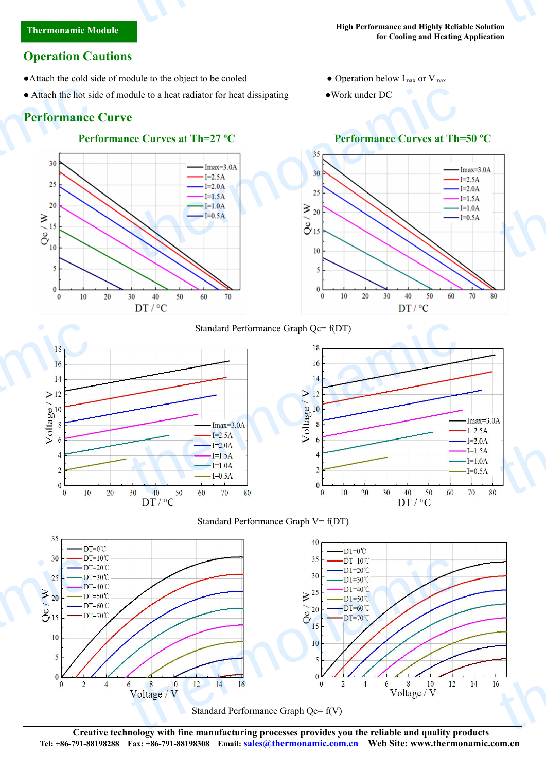# **Thermonamic Module** thermonamic

# **Operation Cautions**

- Attach the cold side of module to the object to be cooled  $\bullet$  Operation below I<sub>max</sub> or V<sub>max</sub>
- Attach the hot side of module to a heat radiator for heat dissipating Work under DC

# **Performance Curve**





- 
- 



 $I=2.5A$  $-I=2.0A$  $-I=1.5A$  $-I=1.0A$  $I=0.5A$ 

70

 $DT/°C$ 

### Standard Performance Graph Qc= f(DT)







Standard Performance Graph Qc= f(V)

**Creative technology with fine manufacturing processes provides you the reliable and quality products Tel: +86-791-88198288 Fax: +86-791-88198308 Email: [sales@thermonamic.com.cn](mailto:sales@thermonamic.com.cn) Web Site: www.thermonamic.com.cn**